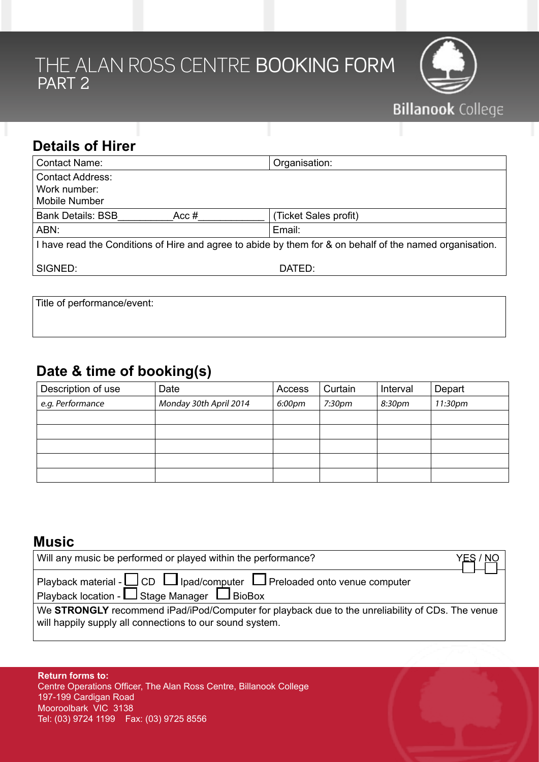# the Alan Ross Centre Booking Form PART 2



| <b>Details of Hirer</b>                                         |                                                                                                          |
|-----------------------------------------------------------------|----------------------------------------------------------------------------------------------------------|
| <b>Contact Name:</b>                                            | Organisation:                                                                                            |
| <b>Contact Address:</b><br>Work number:<br><b>Mobile Number</b> |                                                                                                          |
| <b>Bank Details: BSB</b><br>Acc#                                | (Ticket Sales profit)                                                                                    |
| ABN:                                                            | Email:                                                                                                   |
|                                                                 | I have read the Conditions of Hire and agree to abide by them for & on behalf of the named organisation. |
| SIGNED:                                                         | DATED:                                                                                                   |
|                                                                 |                                                                                                          |

Title of performance/event:

## **Date & time of booking(s)**

| Description of use | Date                   | Access | Curtain            | Interval | Depart  |
|--------------------|------------------------|--------|--------------------|----------|---------|
| e.g. Performance   | Monday 30th April 2014 | 6:00pm | 7:30 <sub>pm</sub> | 8:30pm   | 11:30pm |
|                    |                        |        |                    |          |         |
|                    |                        |        |                    |          |         |
|                    |                        |        |                    |          |         |
|                    |                        |        |                    |          |         |
|                    |                        |        |                    |          |         |

### **Music**

| Will any music be performed or played within the performance?                                                                                                | YES / NO |
|--------------------------------------------------------------------------------------------------------------------------------------------------------------|----------|
| Playback material - $\square$ CD $\square$ Ipad/computer $\square$ Preloaded onto venue computer<br>Playback location - $\Box$ Stage Manager $\Box$ BioBox   |          |
| We STRONGLY recommend iPad/iPod/Computer for playback due to the unreliability of CDs. The venue<br>will happily supply all connections to our sound system. |          |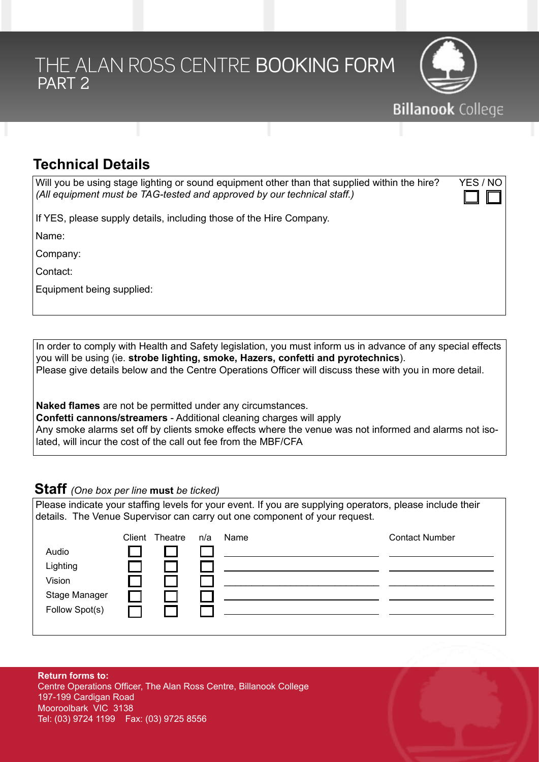# the Alan Ross Centre Booking Form PART<sub>2</sub>



## **Technical Details**

| Will you be using stage lighting or sound equipment other than that supplied within the hire? | YES / NO            |
|-----------------------------------------------------------------------------------------------|---------------------|
| (All equipment must be TAG-tested and approved by our technical staff.)                       | $\square$ $\square$ |

If YES, please supply details, including those of the Hire Company.

Name:

Company:

Contact:

Equipment being supplied:

In order to comply with Health and Safety legislation, you must inform us in advance of any special effects you will be using (ie. **strobe lighting, smoke, Hazers, confetti and pyrotechnics**). Please give details below and the Centre Operations Officer will discuss these with you in more detail.

**Naked flames** are not be permitted under any circumstances.

**Confetti cannons/streamers** - Additional cleaning charges will apply Any smoke alarms set off by clients smoke effects where the venue was not informed and alarms not isolated, will incur the cost of the call out fee from the MBF/CFA

#### **Staff** *(One box per line* **must** *be ticked)*

Please indicate your staffing levels for your event. If you are supplying operators, please include their details. The Venue Supervisor can carry out one component of your request.

|                | Client | Theatre | n/a | Name | <b>Contact Number</b> |
|----------------|--------|---------|-----|------|-----------------------|
| Audio          |        |         |     |      |                       |
| Lighting       |        |         |     |      |                       |
| Vision         |        |         |     |      |                       |
| Stage Manager  |        |         |     |      |                       |
| Follow Spot(s) |        |         |     |      |                       |
|                |        |         |     |      |                       |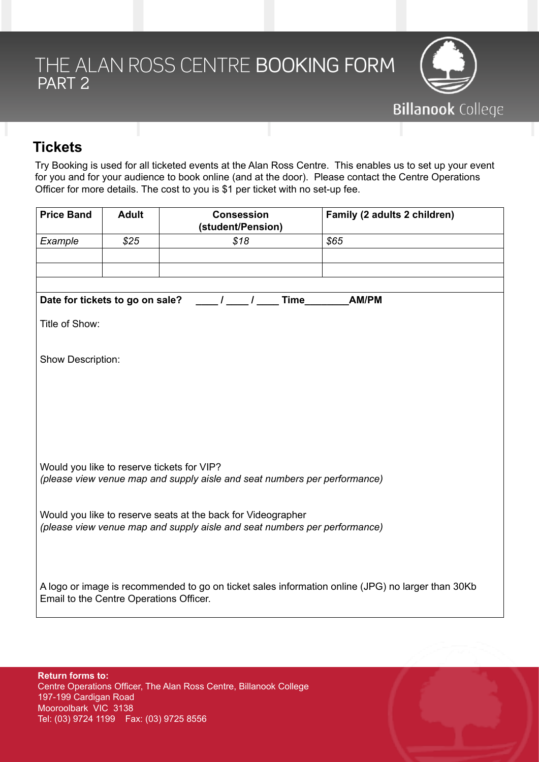

## **Tickets**

Try Booking is used for all ticketed events at the Alan Ross Centre. This enables us to set up your event for you and for your audience to book online (and at the door). Please contact the Centre Operations Officer for more details. The cost to you is \$1 per ticket with no set-up fee.

| <b>Price Band</b>                                                         | <b>Adult</b> | <b>Consession</b><br>(student/Pension)                                                            | Family (2 adults 2 children) |  |  |
|---------------------------------------------------------------------------|--------------|---------------------------------------------------------------------------------------------------|------------------------------|--|--|
| Example                                                                   | \$25         | \$18                                                                                              | \$65                         |  |  |
|                                                                           |              |                                                                                                   |                              |  |  |
|                                                                           |              |                                                                                                   |                              |  |  |
|                                                                           |              |                                                                                                   |                              |  |  |
| Date for tickets to go on sale?                                           |              | Time<br>$\mathcal{L}$                                                                             | <b>AM/PM</b>                 |  |  |
| Title of Show:                                                            |              |                                                                                                   |                              |  |  |
|                                                                           |              |                                                                                                   |                              |  |  |
| Show Description:                                                         |              |                                                                                                   |                              |  |  |
|                                                                           |              |                                                                                                   |                              |  |  |
|                                                                           |              |                                                                                                   |                              |  |  |
|                                                                           |              |                                                                                                   |                              |  |  |
|                                                                           |              |                                                                                                   |                              |  |  |
|                                                                           |              |                                                                                                   |                              |  |  |
|                                                                           |              |                                                                                                   |                              |  |  |
| Would you like to reserve tickets for VIP?                                |              |                                                                                                   |                              |  |  |
| (please view venue map and supply aisle and seat numbers per performance) |              |                                                                                                   |                              |  |  |
|                                                                           |              |                                                                                                   |                              |  |  |
| Would you like to reserve seats at the back for Videographer              |              |                                                                                                   |                              |  |  |
| (please view venue map and supply aisle and seat numbers per performance) |              |                                                                                                   |                              |  |  |
|                                                                           |              |                                                                                                   |                              |  |  |
|                                                                           |              |                                                                                                   |                              |  |  |
|                                                                           |              | A logo or image is recommended to go on ticket sales information online (JPG) no larger than 30Kb |                              |  |  |
| Email to the Centre Operations Officer.                                   |              |                                                                                                   |                              |  |  |
|                                                                           |              |                                                                                                   |                              |  |  |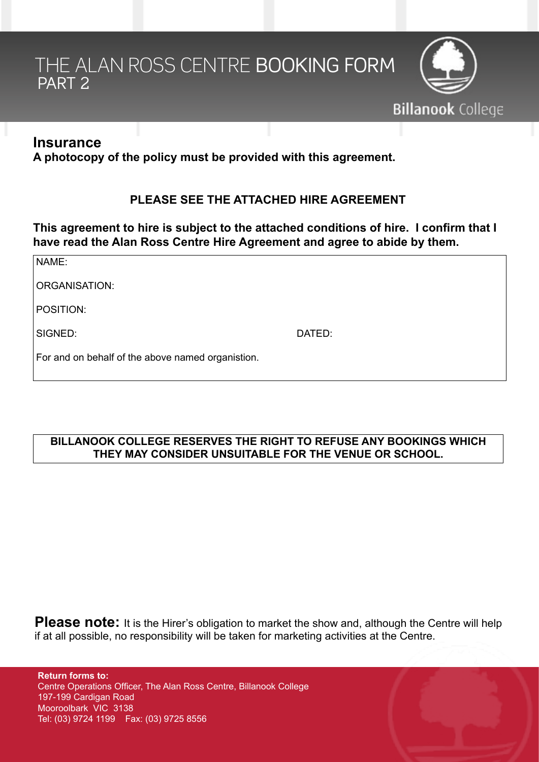# THE ALAN ROSS CENTRE BOOKING FORM PART<sub>2</sub>



### **Insurance**

**A photocopy of the policy must be provided with this agreement.**

#### **PLEASE SEE THE ATTACHED HIRE AGREEMENT**

**This agreement to hire is subject to the attached conditions of hire. I confirm that I have read the Alan Ross Centre Hire Agreement and agree to abide by them.**

| NAME:                                             |        |
|---------------------------------------------------|--------|
| ORGANISATION:                                     |        |
| POSITION:                                         |        |
| SIGNED:                                           | DATED: |
| For and on behalf of the above named organistion. |        |

#### **BILLANOOK COLLEGE RESERVES THE RIGHT TO REFUSE ANY BOOKINGS WHICH THEY MAY CONSIDER UNSUITABLE FOR THE VENUE OR SCHOOL.**

**Please note:** It is the Hirer's obligation to market the show and, although the Centre will help if at all possible, no responsibility will be taken for marketing activities at the Centre.